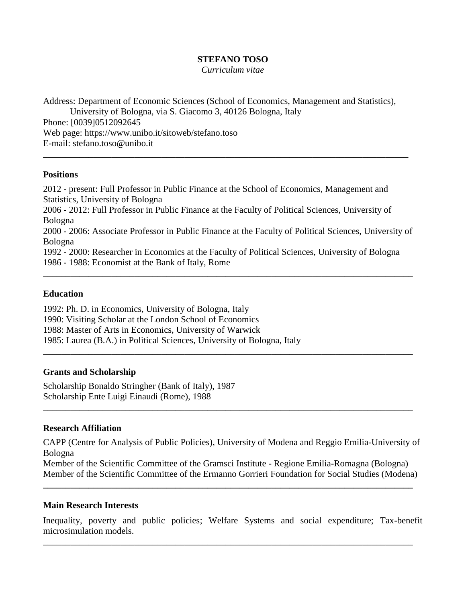### **STEFANO TOSO**

*Curriculum vitae*

Address: Department of Economic Sciences (School of Economics, Management and Statistics), University of Bologna, via S. Giacomo 3, 40126 Bologna, Italy Phone: [0039]0512092645 Web page: https://www.unibo.it/sitoweb/stefano.toso E-mail: [stefano.toso@unibo.it](mailto:stefano.toso@unibo.it) \_\_\_\_\_\_\_\_\_\_\_\_\_\_\_\_\_\_\_\_\_\_\_\_\_\_\_\_\_\_\_\_\_\_\_\_\_\_\_\_\_\_\_\_\_\_\_\_\_\_\_\_\_\_\_\_\_\_\_\_\_\_\_\_\_\_\_\_\_\_\_\_\_\_\_\_\_\_\_\_

#### **Positions**

2012 - present: Full Professor in Public Finance at the School of Economics, Management and Statistics, University of Bologna 2006 - 2012: Full Professor in Public Finance at the Faculty of Political Sciences, University of Bologna 2000 - 2006: Associate Professor in Public Finance at the Faculty of Political Sciences, University of Bologna 1992 - 2000: Researcher in Economics at the Faculty of Political Sciences, University of Bologna 1986 - 1988: Economist at the Bank of Italy, Rome

\_\_\_\_\_\_\_\_\_\_\_\_\_\_\_\_\_\_\_\_\_\_\_\_\_\_\_\_\_\_\_\_\_\_\_\_\_\_\_\_\_\_\_\_\_\_\_\_\_\_\_\_\_\_\_\_\_\_\_\_\_\_\_\_\_\_\_\_\_\_\_\_\_\_\_\_\_\_\_\_\_

\_\_\_\_\_\_\_\_\_\_\_\_\_\_\_\_\_\_\_\_\_\_\_\_\_\_\_\_\_\_\_\_\_\_\_\_\_\_\_\_\_\_\_\_\_\_\_\_\_\_\_\_\_\_\_\_\_\_\_\_\_\_\_\_\_\_\_\_\_\_\_\_\_\_\_\_\_\_\_\_\_

\_\_\_\_\_\_\_\_\_\_\_\_\_\_\_\_\_\_\_\_\_\_\_\_\_\_\_\_\_\_\_\_\_\_\_\_\_\_\_\_\_\_\_\_\_\_\_\_\_\_\_\_\_\_\_\_\_\_\_\_\_\_\_\_\_\_\_\_\_\_\_\_\_\_\_\_\_\_\_\_\_

### **Education**

1992: Ph. D. in Economics, University of Bologna, Italy 1990: Visiting Scholar at the London School of Economics 1988: Master of Arts in Economics, University of Warwick 1985: Laurea (B.A.) in Political Sciences, University of Bologna, Italy

### **Grants and Scholarship**

Scholarship Bonaldo Stringher (Bank of Italy), 1987 Scholarship Ente Luigi Einaudi (Rome), 1988

### **Research Affiliation**

CAPP (Centre for Analysis of Public Policies), University of Modena and Reggio Emilia-University of Bologna

Member of the Scientific Committee of the Gramsci Institute - Regione Emilia-Romagna (Bologna) Member of the Scientific Committee of the Ermanno Gorrieri Foundation for Social Studies (Modena)

**\_\_\_\_\_\_\_\_\_\_\_\_\_\_\_\_\_\_\_\_\_\_\_\_\_\_\_\_\_\_\_\_\_\_\_\_\_\_\_\_\_\_\_\_\_\_\_\_\_\_\_\_\_\_\_\_\_\_\_\_\_\_\_\_\_\_\_\_\_\_\_\_\_\_\_\_\_\_\_\_\_**

### **Main Research Interests**

Inequality, poverty and public policies; Welfare Systems and social expenditure; Tax-benefit microsimulation models.

\_\_\_\_\_\_\_\_\_\_\_\_\_\_\_\_\_\_\_\_\_\_\_\_\_\_\_\_\_\_\_\_\_\_\_\_\_\_\_\_\_\_\_\_\_\_\_\_\_\_\_\_\_\_\_\_\_\_\_\_\_\_\_\_\_\_\_\_\_\_\_\_\_\_\_\_\_\_\_\_\_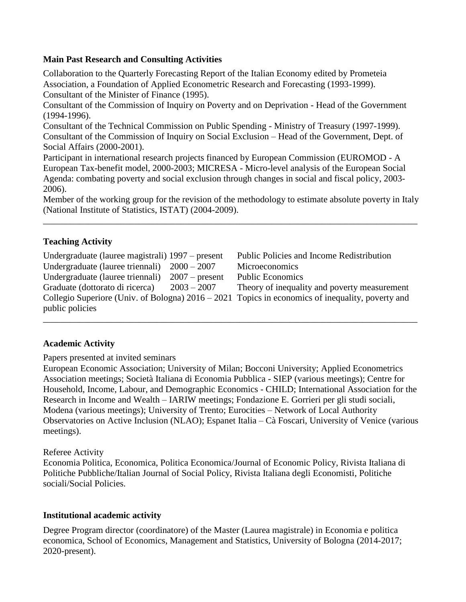### **Main Past Research and Consulting Activities**

Collaboration to the Quarterly Forecasting Report of the Italian Economy edited by Prometeia Association, a Foundation of Applied Econometric Research and Forecasting (1993-1999). Consultant of the Minister of Finance (1995).

Consultant of the Commission of Inquiry on Poverty and on Deprivation - Head of the Government (1994-1996).

Consultant of the Technical Commission on Public Spending - Ministry of Treasury (1997-1999). Consultant of the Commission of Inquiry on Social Exclusion – Head of the Government, Dept. of Social Affairs (2000-2001).

Participant in international research projects financed by European Commission (EUROMOD - A European Tax-benefit model, 2000-2003; MICRESA - Micro-level analysis of the European Social Agenda: combating poverty and social exclusion through changes in social and fiscal policy, 2003- 2006).

Member of the working group for the revision of the methodology to estimate absolute poverty in Italy (National Institute of Statistics, ISTAT) (2004-2009).

\_\_\_\_\_\_\_\_\_\_\_\_\_\_\_\_\_\_\_\_\_\_\_\_\_\_\_\_\_\_\_\_\_\_\_\_\_\_\_\_\_\_\_\_\_\_\_\_\_\_\_\_\_\_\_\_\_\_\_\_\_\_\_\_\_\_\_\_\_\_\_\_\_\_\_\_\_\_\_\_\_\_

## **Teaching Activity**

| Undergraduate (lauree magistrali) 1997 – present                                                   |                  | Public Policies and Income Redistribution    |
|----------------------------------------------------------------------------------------------------|------------------|----------------------------------------------|
| Undergraduate (lauree triennali) $2000 - 2007$                                                     |                  | Microeconomics                               |
| Undergraduate (lauree triennali)                                                                   | $2007$ – present | <b>Public Economics</b>                      |
| Graduate (dottorato di ricerca)                                                                    | $2003 - 2007$    | Theory of inequality and poverty measurement |
| Collegio Superiore (Univ. of Bologna) $2016 - 2021$ Topics in economics of inequality, poverty and |                  |                                              |
| public policies                                                                                    |                  |                                              |

\_\_\_\_\_\_\_\_\_\_\_\_\_\_\_\_\_\_\_\_\_\_\_\_\_\_\_\_\_\_\_\_\_\_\_\_\_\_\_\_\_\_\_\_\_\_\_\_\_\_\_\_\_\_\_\_\_\_\_\_\_\_\_\_\_\_\_\_\_\_\_\_\_\_\_\_\_\_\_\_\_\_

## **Academic Activity**

Papers presented at invited seminars

European Economic Association; University of Milan; Bocconi University; Applied Econometrics Association meetings; Società Italiana di Economia Pubblica - SIEP (various meetings); Centre for Household, Income, Labour, and Demographic Economics - CHILD; International Association for the Research in Income and Wealth – IARIW meetings; Fondazione E. Gorrieri per gli studi sociali, Modena (various meetings); University of Trento; Eurocities – Network of Local Authority Observatories on Active Inclusion (NLAO); Espanet Italia – Cà Foscari, University of Venice (various meetings).

## Referee Activity

Economia Politica, Economica, Politica Economica/Journal of Economic Policy, Rivista Italiana di Politiche Pubbliche/Italian Journal of Social Policy, Rivista Italiana degli Economisti, Politiche sociali/Social Policies.

## **Institutional academic activity**

Degree Program director (coordinatore) of the Master (Laurea magistrale) in Economia e politica economica, School of Economics, Management and Statistics, University of Bologna (2014-2017; 2020-present).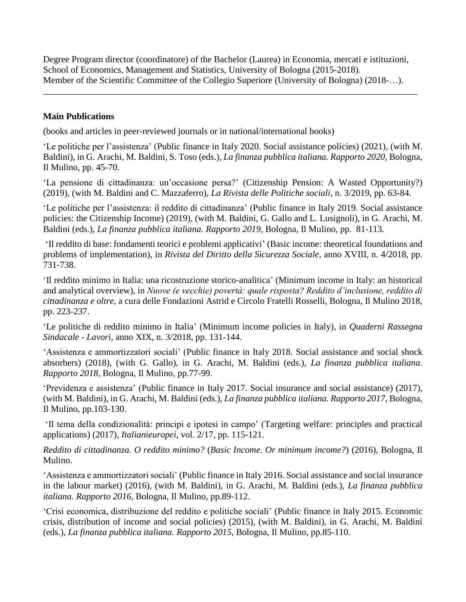Degree Program director (coordinatore) of the Bachelor (Laurea) in Economia, mercati e istituzioni, School of Economics, Management and Statistics, University of Bologna (2015-2018). Member of the Scientific Committee of the Collegio Superiore (University of Bologna) (2018-…).

\_\_\_\_\_\_\_\_\_\_\_\_\_\_\_\_\_\_\_\_\_\_\_\_\_\_\_\_\_\_\_\_\_\_\_\_\_\_\_\_\_\_\_\_\_\_\_\_\_\_\_\_\_\_\_\_\_\_\_\_\_\_\_\_\_\_\_\_\_\_\_\_\_\_\_\_\_\_\_\_\_\_

# **Main Publications**

(books and articles in peer-reviewed journals or in national/international books)

'Le politiche per l'assistenza' (Public finance in Italy 2020. Social assistance policies) (2021), (with M. Baldini), in G. Arachi, M. Baldini, S. Toso (eds.), *La finanza pubblica italiana. Rapporto 2020*, Bologna, Il Mulino, pp. 45-70.

'La pensione di cittadinanza: un'occasione persa?' (Citizenship Pension: A Wasted Opportunity?) (2019), (with M. Baldini and C. Mazzaferro), *La Rivista delle Politiche sociali*, n. 3/2019, pp. 63-84.

'Le politiche per l'assistenza: il reddito di cittadinanza' (Public finance in Italy 2019. Social assistance policies: the Citizenship Income) (2019), (with M. Baldini, G. Gallo and L. Lusignoli), in G. Arachi, M. Baldini (eds.), *La finanza pubblica italiana. Rapporto 2019*, Bologna, Il Mulino, pp. 81-113.

'Il reddito di base: fondamenti teorici e problemi applicativi' (Basic income: theoretical foundations and problems of implementation), in *Rivista del Diritto della Sicurezza Sociale*, anno XVIII, n. 4/2018, pp. 731-738.

'Il reddito minimo in Italia: una ricostruzione storico-analitica' (Minimum income in Italy: an historical and analytical overview), in *Nuove (e vecchie) povertà: quale risposta? Reddito d'inclusione, reddito di cittadinanza e oltre*, a cura delle Fondazioni Astrid e Circolo Fratelli Rosselli, Bologna, Il Mulino 2018, pp. 223-237.

'Le politiche di reddito minimo in Italia' (Minimum income policies in Italy), in *Quaderni Rassegna Sindacale - Lavori*, anno XIX, n. 3/2018, pp. 131-144.

'Assistenza e ammortizzatori sociali' (Public finance in Italy 2018. Social assistance and social shock absorbers) (2018), (with G. Gallo), in G. Arachi, M. Baldini (eds.), *La finanza pubblica italiana. Rapporto 2018*, Bologna, Il Mulino, pp.77-99.

'Previdenza e assistenza' (Public finance in Italy 2017. Social insurance and social assistance) (2017), (with M. Baldini), in G. Arachi, M. Baldini (eds.), *La finanza pubblica italiana. Rapporto 2017*, Bologna, Il Mulino, pp.103-130.

'Il tema della condizionalità: principi e ipotesi in campo' (Targeting welfare: principles and practical applications) (2017), *Italianieuropei*, vol. 2/17, pp. 115-121.

*Reddito di cittadinanza. O reddito minimo?* (*Basic Income. Or minimum income?*) (2016), Bologna, Il Mulino.

'Assistenza e ammortizzatori sociali' (Public finance in Italy 2016. Social assistance and social insurance in the labour market) (2016), (with M. Baldini), in G. Arachi, M. Baldini (eds.), *La finanza pubblica italiana. Rapporto 2016*, Bologna, Il Mulino, pp.89-112.

'Crisi economica, distribuzione del reddito e politiche sociali' (Public finance in Italy 2015. Economic crisis, distribution of income and social policies) (2015), (with M. Baldini), in G. Arachi, M. Baldini (eds.), *La finanza pubblica italiana. Rapporto 2015*, Bologna, Il Mulino, pp.85-110.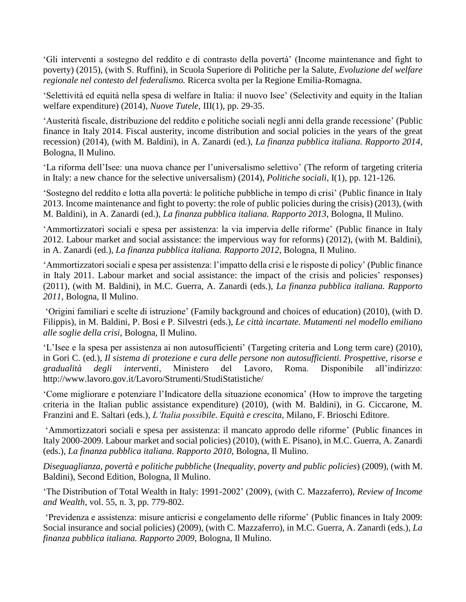'Gli interventi a sostegno del reddito e di contrasto della povertà' (Income maintenance and fight to poverty) (2015), (with S. Ruffini), in Scuola Superiore di Politiche per la Salute, *Evoluzione del welfare regionale nel contesto del federalismo.* Ricerca svolta per la Regione Emilia-Romagna.

'Selettività ed equità nella spesa di welfare in Italia: il nuovo Isee' (Selectivity and equity in the Italian welfare expenditure) (2014), *Nuove Tutele*, III(1), pp. 29-35.

'Austerità fiscale, distribuzione del reddito e politiche sociali negli anni della grande recessione' (Public finance in Italy 2014. Fiscal austerity, income distribution and social policies in the years of the great recession) (2014), (with M. Baldini), in A. Zanardi (ed.), *La finanza pubblica italiana. Rapporto 2014*, Bologna, Il Mulino.

'La riforma dell'Isee: una nuova chance per l'universalismo selettivo' (The reform of targeting criteria in Italy: a new chance for the selective universalism) (2014), *Politiche sociali,* I(1), pp. 121-126*.*

'Sostegno del reddito e lotta alla povertà: le politiche pubbliche in tempo di crisi' (Public finance in Italy 2013. Income maintenance and fight to poverty: the role of public policies during the crisis) (2013), (with M. Baldini), in A. Zanardi (ed.), *La finanza pubblica italiana. Rapporto 2013*, Bologna, Il Mulino.

'Ammortizzatori sociali e spesa per assistenza: la via impervia delle riforme' (Public finance in Italy 2012. Labour market and social assistance: the impervious way for reforms) (2012), (with M. Baldini), in A. Zanardi (ed.), *La finanza pubblica italiana. Rapporto 2012*, Bologna, Il Mulino.

'Ammortizzatori sociali e spesa per assistenza: l'impatto della crisi e le risposte di policy' (Public finance in Italy 2011. Labour market and social assistance: the impact of the crisis and policies' responses) (2011), (with M. Baldini), in M.C. Guerra, A. Zanardi (eds.), *La finanza pubblica italiana. Rapporto 2011*, Bologna, Il Mulino.

'Origini familiari e scelte di istruzione' (Family background and choices of education) (2010), (with D. Filippis), in M. Baldini, P. Bosi e P. Silvestri (eds.), *Le città incartate. Mutamenti nel modello emiliano alle soglie della crisi*, Bologna, Il Mulino.

'L'Isee e la spesa per assistenza ai non autosufficienti' (Targeting criteria and Long term care) (2010), in Gori C. (ed.), *Il sistema di protezione e cura delle persone non autosufficienti. Prospettive, risorse e gradualità degli interventi*, Ministero del Lavoro, Roma. Disponibile all'indirizzo: http://www.lavoro.gov.it/Lavoro/Strumenti/StudiStatistiche/

'Come migliorare e potenziare l'Indicatore della situazione economica' (How to improve the targeting criteria in the Italian public assistance expenditure) (2010), (with M. Baldini), in G. Ciccarone, M. Franzini and E. Saltari (eds.), *L'Italia possibile. Equità e crescita*, Milano, F. Brioschi Editore.

'Ammortizzatori sociali e spesa per assistenza: il mancato approdo delle riforme' (Public finances in Italy 2000-2009. Labour market and social policies) (2010), (with E. Pisano), in M.C. Guerra, A. Zanardi (eds.), *La finanza pubblica italiana. Rapporto 2010*, Bologna, Il Mulino.

*Diseguaglianza, povertà e politiche pubbliche* (*Inequality, poverty and public policies*) (2009), (with M. Baldini), Second Edition, Bologna, Il Mulino.

'The Distribution of Total Wealth in Italy: 1991-2002' (2009), (with C. Mazzaferro), *Review of Income and Wealth*, vol. 55, n. 3, pp. 779-802.

'Previdenza e assistenza: misure anticrisi e congelamento delle riforme' (Public finances in Italy 2009: Social insurance and social policies) (2009), (with C. Mazzaferro), in M.C. Guerra, A. Zanardi (eds.), *La finanza pubblica italiana. Rapporto 2009*, Bologna, Il Mulino.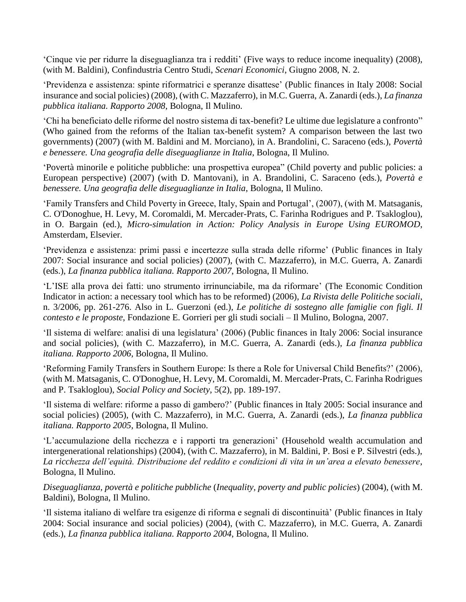'Cinque vie per ridurre la diseguaglianza tra i redditi' (Five ways to reduce income inequality) (2008), (with M. Baldini), Confindustria Centro Studi, *Scenari Economici*, Giugno 2008, N. 2.

'Previdenza e assistenza: spinte riformatrici e speranze disattese' (Public finances in Italy 2008: Social insurance and social policies) (2008), (with C. Mazzaferro), in M.C. Guerra, A. Zanardi (eds.), *La finanza pubblica italiana. Rapporto 2008*, Bologna, Il Mulino.

'Chi ha beneficiato delle riforme del nostro sistema di tax-benefit? Le ultime due legislature a confronto" (Who gained from the reforms of the Italian tax-benefit system? A comparison between the last two governments) (2007) (with M. Baldini and M. Morciano), in A. Brandolini, C. Saraceno (eds.), *Povertà e benessere. Una geografia delle diseguaglianze in Italia*, Bologna, Il Mulino.

'Povertà minorile e politiche pubbliche: una prospettiva europea" (Child poverty and public policies: a European perspective) (2007) (with D. Mantovani), in A. Brandolini, C. Saraceno (eds.), *Povertà e benessere. Una geografia delle diseguaglianze in Italia*, Bologna, Il Mulino.

'Family Transfers and Child Poverty in Greece, Italy, Spain and Portugal', (2007), (with M. Matsaganis, C. O'Donoghue, H. Levy, M. Coromaldi, M. Mercader-Prats, C. Farinha Rodrigues and P. Tsakloglou), in O. Bargain (ed.), *Micro-simulation in Action: Policy Analysis in Europe Using EUROMOD*, Amsterdam, Elsevier.

'Previdenza e assistenza: primi passi e incertezze sulla strada delle riforme' (Public finances in Italy 2007: Social insurance and social policies) (2007), (with C. Mazzaferro), in M.C. Guerra, A. Zanardi (eds.), *La finanza pubblica italiana. Rapporto 2007*, Bologna, Il Mulino.

'L'ISE alla prova dei fatti: uno strumento irrinunciabile, ma da riformare' (The Economic Condition Indicator in action: a necessary tool which has to be reformed) (2006), *La Rivista delle Politiche sociali*, n. 3/2006, pp. 261-276. Also in L. Guerzoni (ed.), *Le politiche di sostegno alle famiglie con figli. Il contesto e le proposte*, Fondazione E. Gorrieri per gli studi sociali – Il Mulino, Bologna, 2007.

'Il sistema di welfare: analisi di una legislatura' (2006) (Public finances in Italy 2006: Social insurance and social policies), (with C. Mazzaferro), in M.C. Guerra, A. Zanardi (eds.), *La finanza pubblica italiana. Rapporto 2006*, Bologna, Il Mulino.

'Reforming Family Transfers in Southern Europe: Is there a Role for Universal Child Benefits?' (2006), (with M. Matsaganis, C. O'Donoghue, H. Levy, M. Coromaldi, M. Mercader-Prats, C. Farinha Rodrigues and P. Tsakloglou), *[Social Policy and Society](http://journals.cambridge.org/action/displayJournal?jid=SPS)*, 5(2), pp. 189-197.

'Il sistema di welfare: riforme a passo di gambero?' (Public finances in Italy 2005: Social insurance and social policies) (2005), (with C. Mazzaferro), in M.C. Guerra, A. Zanardi (eds.), *La finanza pubblica italiana. Rapporto 2005*, Bologna, Il Mulino.

'L'accumulazione della ricchezza e i rapporti tra generazioni' (Household wealth accumulation and intergenerational relationships) (2004), (with C. Mazzaferro), in M. Baldini, P. Bosi e P. Silvestri (eds.), *La ricchezza dell'equità. Distribuzione del reddito e condizioni di vita in un'area a elevato benessere*, Bologna, Il Mulino.

*Diseguaglianza, povertà e politiche pubbliche* (*Inequality, poverty and public policies*) (2004), (with M. Baldini), Bologna, Il Mulino.

'Il sistema italiano di welfare tra esigenze di riforma e segnali di discontinuità' (Public finances in Italy 2004: Social insurance and social policies) (2004), (with C. Mazzaferro), in M.C. Guerra, A. Zanardi (eds.), *La finanza pubblica italiana. Rapporto 2004*, Bologna, Il Mulino.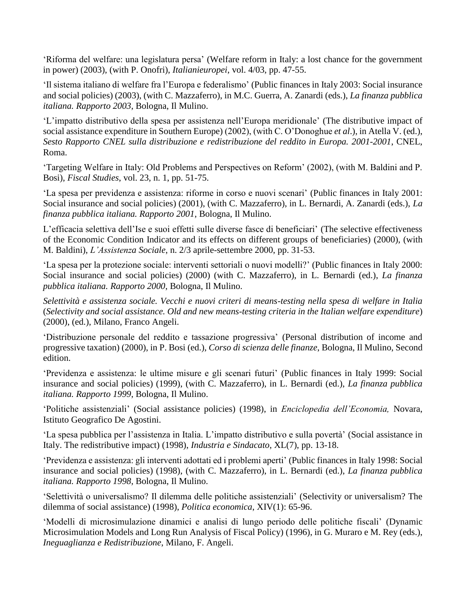'Riforma del welfare: una legislatura persa' (Welfare reform in Italy: a lost chance for the government in power) (2003), (with P. Onofri), *Italianieuropei*, vol. 4/03, pp. 47-55.

'Il sistema italiano di welfare fra l'Europa e federalismo' (Public finances in Italy 2003: Social insurance and social policies) (2003), (with C. Mazzaferro), in M.C. Guerra, A. Zanardi (eds.), *La finanza pubblica italiana. Rapporto 2003*, Bologna, Il Mulino.

'L'impatto distributivo della spesa per assistenza nell'Europa meridionale' (The distributive impact of social assistance expenditure in Southern Europe) (2002), (with C. O'Donoghue *et al*.), in Atella V. (ed.), *Sesto Rapporto CNEL sulla distribuzione e redistribuzione del reddito in Europa. 2001-2001*, CNEL, Roma.

'Targeting Welfare in Italy: Old Problems and Perspectives on Reform' (2002), (with M. Baldini and P. Bosi), *Fiscal Studies*, vol. 23, n. 1, pp. 51-75.

'La spesa per previdenza e assistenza: riforme in corso e nuovi scenari' (Public finances in Italy 2001: Social insurance and social policies) (2001), (with C. Mazzaferro), in L. Bernardi, A. Zanardi (eds.), *La finanza pubblica italiana. Rapporto 2001*, Bologna, Il Mulino.

L'efficacia selettiva dell'Ise e suoi effetti sulle diverse fasce di beneficiari' (The selective effectiveness of the Economic Condition Indicator and its effects on different groups of beneficiaries) (2000), (with M. Baldini), *L'Assistenza Sociale*, n. 2/3 aprile-settembre 2000, pp. 31-53.

'La spesa per la protezione sociale: interventi settoriali o nuovi modelli?' (Public finances in Italy 2000: Social insurance and social policies) (2000) (with C. Mazzaferro), in L. Bernardi (ed.), *La finanza pubblica italiana. Rapporto 2000*, Bologna, Il Mulino.

*Selettività e assistenza sociale. Vecchi e nuovi criteri di means-testing nella spesa di welfare in Italia* (*Selectivity and social assistance. Old and new means-testing criteria in the Italian welfare expenditure*) (2000), (ed.), Milano, Franco Angeli.

'Distribuzione personale del reddito e tassazione progressiva' (Personal distribution of income and progressive taxation) (2000), in P. Bosi (ed.), *Corso di scienza delle finanze*, Bologna, Il Mulino, Second edition.

'Previdenza e assistenza: le ultime misure e gli scenari futuri' (Public finances in Italy 1999: Social insurance and social policies) (1999), (with C. Mazzaferro), in L. Bernardi (ed.), *La finanza pubblica italiana. Rapporto 1999*, Bologna, Il Mulino.

'Politiche assistenziali' (Social assistance policies) (1998), in *Enciclopedia dell'Economia,* Novara, Istituto Geografico De Agostini.

'La spesa pubblica per l'assistenza in Italia. L'impatto distributivo e sulla povertà' (Social assistance in Italy. The redistributive impact) (1998), *Industria e Sindacato*, XL(7), pp. 13-18.

'Previdenza e assistenza: gli interventi adottati ed i problemi aperti' (Public finances in Italy 1998: Social insurance and social policies) (1998), (with C. Mazzaferro), in L. Bernardi (ed.), *La finanza pubblica italiana. Rapporto 1998*, Bologna, Il Mulino.

'Selettività o universalismo? Il dilemma delle politiche assistenziali' (Selectivity or universalism? The dilemma of social assistance) (1998), *Politica economica*, XIV(1): 65-96.

'Modelli di microsimulazione dinamici e analisi di lungo periodo delle politiche fiscali' (Dynamic Microsimulation Models and Long Run Analysis of Fiscal Policy) (1996), in G. Muraro e M. Rey (eds.), *Ineguaglianza e Redistribuzione*, Milano, F. Angeli.